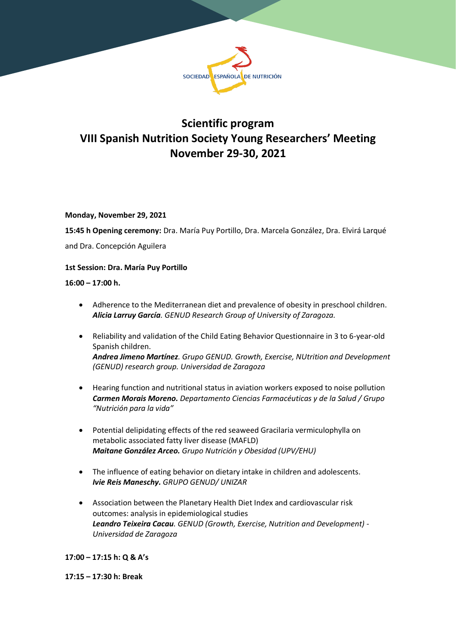

# **Scientific program VIII Spanish Nutrition Society Young Researchers' Meeting November 29-30, 2021**

# **Monday, November 29, 2021**

**15:45 h Opening ceremony:** Dra. María Puy Portillo, Dra. Marcela González, Dra. Elvirá Larqué

and Dra. Concepción Aguilera

# **1st Session: Dra. María Puy Portillo**

**16:00 – 17:00 h.**

- Adherence to the Mediterranean diet and prevalence of obesity in preschool children. *Alicia Larruy García. GENUD Research Group of University of Zaragoza.*
- Reliability and validation of the Child Eating Behavior Questionnaire in 3 to 6-year-old Spanish children. *Andrea Jimeno Martínez. Grupo GENUD. Growth, Exercise, NUtrition and Development (GENUD) research group. Universidad de Zaragoza*
- Hearing function and nutritional status in aviation workers exposed to noise pollution *Carmen Morais Moreno. Departamento Ciencias Farmacéuticas y de la Salud / Grupo "Nutrición para la vida"*
- Potential delipidating effects of the red seaweed Gracilaria vermiculophylla on metabolic associated fatty liver disease (MAFLD) *Maitane González Arceo. Grupo Nutrición y Obesidad (UPV/EHU)*
- The influence of eating behavior on dietary intake in children and adolescents. *Ivie Reis Maneschy. GRUPO GENUD/ UNIZAR*
- Association between the Planetary Health Diet Index and cardiovascular risk outcomes: analysis in epidemiological studies *Leandro Teixeira Cacau. GENUD (Growth, Exercise, Nutrition and Development) - Universidad de Zaragoza*

**17:00 – 17:15 h: Q & A's** 

**17:15 – 17:30 h: Break**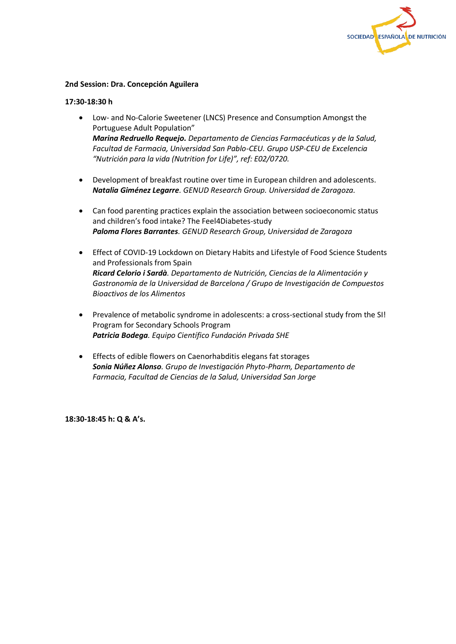

#### **2nd Session: Dra. Concepción Aguilera**

#### **17:30-18:30 h**

- Low- and No-Calorie Sweetener (LNCS) Presence and Consumption Amongst the Portuguese Adult Population" *Marina Redruello Requejo. Departamento de Ciencias Farmacéuticas y de la Salud, Facultad de Farmacia, Universidad San Pablo-CEU. Grupo USP-CEU de Excelencia "Nutrición para la vida (Nutrition for Life)", ref: E02/0720.*
- Development of breakfast routine over time in European children and adolescents. *Natalia Giménez Legarre. GENUD Research Group. Universidad de Zaragoza.*
- Can food parenting practices explain the association between socioeconomic status and children's food intake? The Feel4Diabetes-study *Paloma Flores Barrantes. GENUD Research Group, Universidad de Zaragoza*
- Effect of COVID-19 Lockdown on Dietary Habits and Lifestyle of Food Science Students and Professionals from Spain *Ricard Celorio i Sardà. Departamento de Nutrición, Ciencias de la Alimentación y Gastronomía de la Universidad de Barcelona / Grupo de Investigación de Compuestos Bioactivos de los Alimentos*
- Prevalence of metabolic syndrome in adolescents: a cross-sectional study from the SI! Program for Secondary Schools Program *Patricia Bodega. Equipo Científico Fundación Privada SHE*
- Effects of edible flowers on Caenorhabditis elegans fat storages *Sonia Núñez Alonso. Grupo de Investigación Phyto-Pharm, Departamento de Farmacia, Facultad de Ciencias de la Salud, Universidad San Jorge*

**18:30-18:45 h: Q & A's.**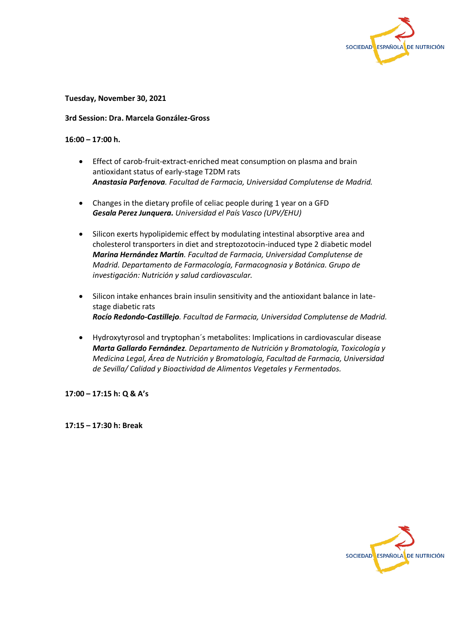

**Tuesday, November 30, 2021**

#### **3rd Session: Dra. Marcela González-Gross**

#### **16:00 – 17:00 h.**

- Effect of carob-fruit-extract-enriched meat consumption on plasma and brain antioxidant status of early-stage T2DM rats *Anastasia Parfenova. Facultad de Farmacia, Universidad Complutense de Madrid.*
- Changes in the dietary profile of celiac people during 1 year on a GFD *Gesala Perez Junquera. Universidad el País Vasco (UPV/EHU)*
- Silicon exerts hypolipidemic effect by modulating intestinal absorptive area and cholesterol transporters in diet and streptozotocin-induced type 2 diabetic model *Marina Hernández Martín. Facultad de Farmacia, Universidad Complutense de Madrid. Departamento de Farmacología, Farmacognosia y Botánica. Grupo de investigación: Nutrición y salud cardiovascular.*
- Silicon intake enhances brain insulin sensitivity and the antioxidant balance in latestage diabetic rats *Rocío Redondo-Castillejo. Facultad de Farmacia, Universidad Complutense de Madrid.*
- Hydroxytyrosol and tryptophan´s metabolites: Implications in cardiovascular disease *Marta Gallardo Fernández. Departamento de Nutrición y Bromatología, Toxicología y Medicina Legal, Área de Nutrición y Bromatología, Facultad de Farmacia, Universidad de Sevilla/ Calidad y Bioactividad de Alimentos Vegetales y Fermentados.*

**17:00 – 17:15 h: Q & A's** 

**17:15 – 17:30 h: Break**